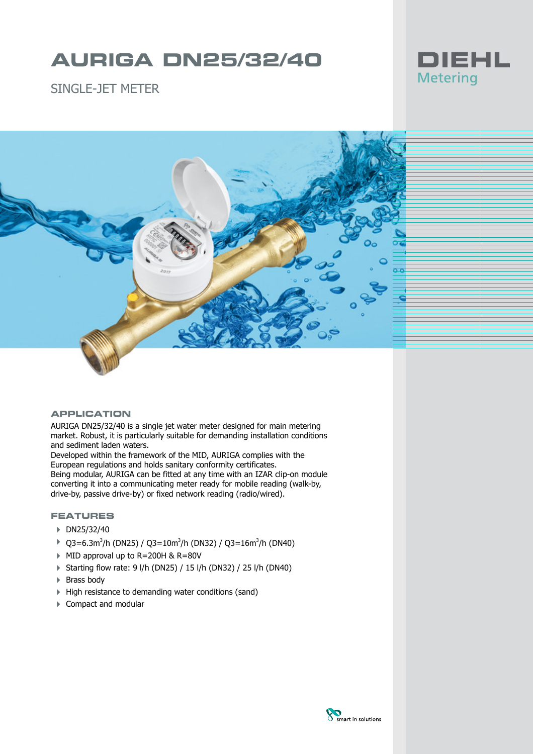# **AURIGA DN25/32/40**



SINGLE-JFT METER



#### **APPLICATION**

AURIGA DN25/32/40 is a single jet water meter designed for main metering market. Robust, it is particularly suitable for demanding installation conditions and sediment laden waters.

Developed within the framework of the MID, AURIGA complies with the European regulations and holds sanitary conformity certificates. Being modular, AURIGA can be fitted at any time with an IZAR clip-on module converting it into a communicating meter ready for mobile reading (walk-by, drive-by, passive drive-by) or fixed network reading (radio/wired).

## **FEATURES**

- ▶ DN25/32/40
- $\rightarrow$  Q3=6.3m<sup>3</sup>/h (DN25) / Q3=10m<sup>3</sup>/h (DN32) / Q3=16m<sup>3</sup>/h (DN40)
- 4 MID approval up to R=200H & R=80V
- 4 Starting flow rate: 9 l/h (DN25) / 15 l/h (DN32) / 25 l/h (DN40)
- $\triangleright$  Brass body
- 4 High resistance to demanding water conditions (sand)
- ▶ Compact and modular

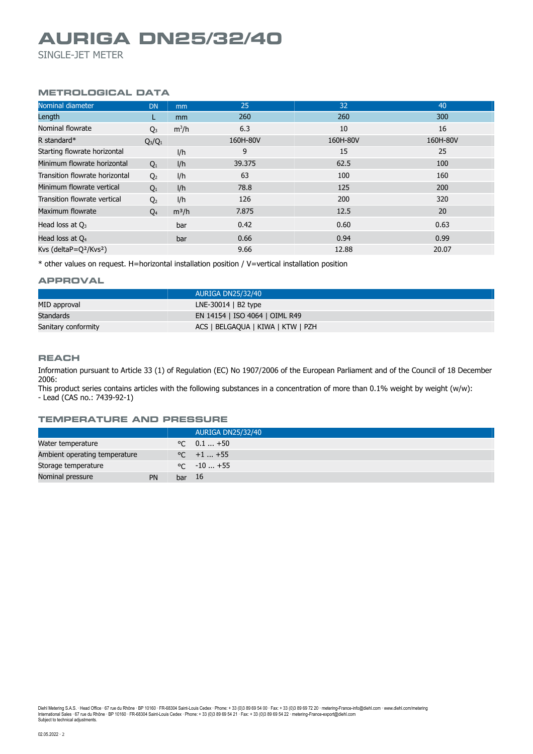# **AURIGA DN25/32/40**

SINGLE-JET METER

## **METROLOGICAL DATA**

| Nominal diameter                               | <b>DN</b>      | mm            | 25       | 32       | 40       |
|------------------------------------------------|----------------|---------------|----------|----------|----------|
| Length                                         |                | <sub>mm</sub> | 260      | 260      | 300      |
| Nominal flowrate                               | $Q_3$          | $m^3/h$       | 6.3      | 10       | 16       |
| R standard $*$                                 | $Q_3/Q_1$      |               | 160H-80V | 160H-80V | 160H-80V |
| Starting flowrate horizontal                   |                | I/h           | 9        | 15       | 25       |
| Minimum flowrate horizontal                    | $Q_1$          | I/h           | 39.375   | 62.5     | 100      |
| Transition flowrate horizontal                 | Q <sub>2</sub> | 1/h           | 63       | 100      | 160      |
| Minimum flowrate vertical                      | Q <sub>1</sub> | I/h           | 78.8     | 125      | 200      |
| Transition flowrate vertical                   | Q <sub>2</sub> | I/h           | 126      | 200      | 320      |
| Maximum flowrate                               | $Q_4$          | $m^3/h$       | 7.875    | 12.5     | 20       |
| Head loss at $Q_3$                             |                | bar           | 0.42     | 0.60     | 0.63     |
| Head loss at $Q_4$                             |                | bar           | 0.66     | 0.94     | 0.99     |
| Kvs (deltaP=Q <sup>2</sup> /Kvs <sup>2</sup> ) |                |               | 9.66     | 12.88    | 20.07    |

\* other values on request. H=horizontal installation position / V=vertical installation position

#### **APPROVAL**

|                     | AURIGA DN25/32/40                 |
|---------------------|-----------------------------------|
| MID approval        | $LNE-30014$   B2 type             |
| Standards           | EN 14154   ISO 4064   OIML R49    |
| Sanitary conformity | ACS   BELGAQUA   KIWA   KTW   PZH |

#### **REACH**

Information pursuant to Article 33 (1) of Regulation (EC) No 1907/2006 of the European Parliament and of the Council of 18 December 2006:

This product series contains articles with the following substances in a concentration of more than 0.1% weight by weight (w/w): - Lead (CAS no.: 7439-92-1)

#### **TEMPERATURE AND PRESSURE**

|                               |    |        | <b>AURIGA DN25/32/40</b> |
|-------------------------------|----|--------|--------------------------|
| Water temperature             |    |        | $\degree$ C 0.1  +50     |
| Ambient operating temperature |    |        | $\degree$ C +1  +55      |
| Storage temperature           |    |        | $\degree$ C $-10+55$     |
| Nominal pressure              | PN | bar 16 |                          |